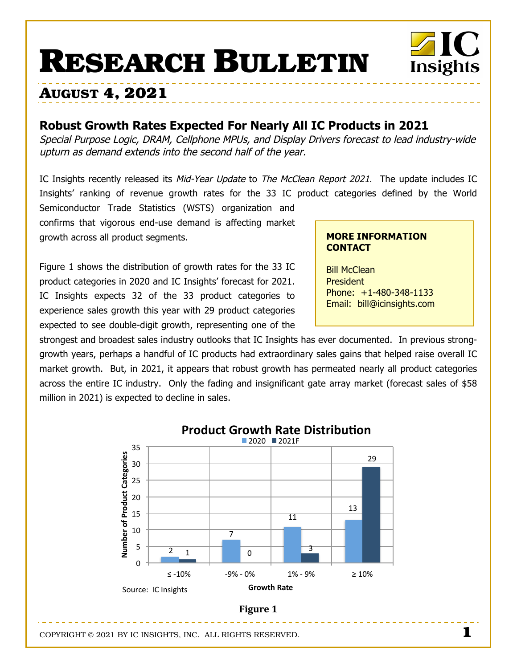# **RESEARCH BULLETIN**

# **AUGUST 4, 2021**

# **Robust Growth Rates Expected For Nearly All IC Products in 2021**

Special Purpose Logic, DRAM, Cellphone MPUs, and Display Drivers forecast to lead industry-wide upturn as demand extends into the second half of the year.

IC Insights recently released its Mid-Year Update to The McClean Report 2021. The update includes IC Insights' ranking of revenue growth rates for the 33 IC product categories defined by the World

Semiconductor Trade Statistics (WSTS) organization and confirms that vigorous end-use demand is affecting market growth across all product segments.

Figure 1 shows the distribution of growth rates for the 33 IC product categories in 2020 and IC Insights' forecast for 2021. IC Insights expects 32 of the 33 product categories to experience sales growth this year with 29 product categories expected to see double-digit growth, representing one of the

# **MORE INFORMATION CONTACT**

Insights

Bill McClean President Phone: +1-480-348-1133 Email: bill@icinsights.com

strongest and broadest sales industry outlooks that IC Insights has ever documented. In previous stronggrowth years, perhaps a handful of IC products had extraordinary sales gains that helped raise overall IC market growth. But, in 2021, it appears that robust growth has permeated nearly all product categories across the entire IC industry. Only the fading and insignificant gate array market (forecast sales of \$58 million in 2021) is expected to decline in sales.



COPYRIGHT © 2021 BY IC INSIGHTS, INC. ALL RIGHTS RESERVED. **1**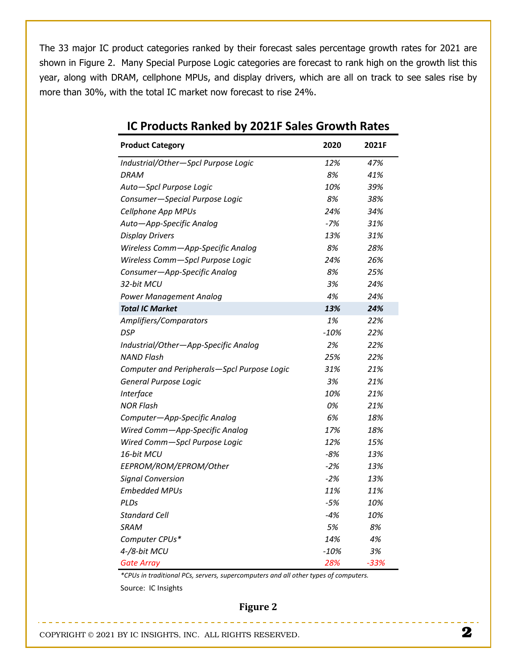The 33 major IC product categories ranked by their forecast sales percentage growth rates for 2021 are shown in Figure 2. Many Special Purpose Logic categories are forecast to rank high on the growth list this year, along with DRAM, cellphone MPUs, and display drivers, which are all on track to see sales rise by more than 30%, with the total IC market now forecast to rise 24%.

| <b>Product Category</b>                     | 2020   | 2021F  |
|---------------------------------------------|--------|--------|
| Industrial/Other-Spcl Purpose Logic         | 12%    | 47%    |
| <b>DRAM</b>                                 | 8%     | 41%    |
| Auto-Spcl Purpose Logic                     | 10%    | 39%    |
| Consumer-Special Purpose Logic              | 8%     | 38%    |
| Cellphone App MPUs                          | 24%    | 34%    |
| Auto-App-Specific Analog                    | $-7%$  | 31%    |
| <b>Display Drivers</b>                      | 13%    | 31%    |
| Wireless Comm-App-Specific Analog           | 8%     | 28%    |
| Wireless Comm-Spcl Purpose Logic            | 24%    | 26%    |
| Consumer-App-Specific Analog                | 8%     | 25%    |
| 32-bit MCU                                  | 3%     | 24%    |
| <b>Power Management Analog</b>              | 4%     | 24%    |
| <b>Total IC Market</b>                      | 13%    | 24%    |
| Amplifiers/Comparators                      | 1%     | 22%    |
| <b>DSP</b>                                  | $-10%$ | 22%    |
| Industrial/Other-App-Specific Analog        | 2%     | 22%    |
| <b>NAND Flash</b>                           | 25%    | 22%    |
| Computer and Peripherals-Spcl Purpose Logic | 31%    | 21%    |
| General Purpose Logic                       | 3%     | 21%    |
| Interface                                   | 10%    | 21%    |
| <b>NOR Flash</b>                            | 0%     | 21%    |
| Computer-App-Specific Analog                | 6%     | 18%    |
| Wired Comm-App-Specific Analog              | 17%    | 18%    |
| Wired Comm-Spcl Purpose Logic               | 12%    | 15%    |
| 16-bit MCU                                  | -8%    | 13%    |
| EEPROM/ROM/EPROM/Other                      | $-2%$  | 13%    |
| <b>Signal Conversion</b>                    | $-2%$  | 13%    |
| <b>Embedded MPUs</b>                        | 11%    | 11%    |
| PLDs                                        | $-5%$  | 10%    |
| Standard Cell                               | -4%    | 10%    |
| SRAM                                        | 5%     | 8%     |
| Computer CPUs*                              | 14%    | 4%     |
| 4-/8-bit MCU                                | $-10%$ | 3%     |
| <b>Gate Array</b>                           | 28%    | $-33%$ |

# **1C Products Ranked by 2021F Sales Growth Rates**

*UE4G%3("3&')#(&(5")\*34E%V3%.'K.'%V3%\$1.'25F1\$&.'%3)"#3)\*\*35&-.'3&J1.%35I325F1\$&.'%W*

متواصل متواطن ومواطن ومواطن ومواطن ومنازلته

Source: IC Insights

### **Figure 2**